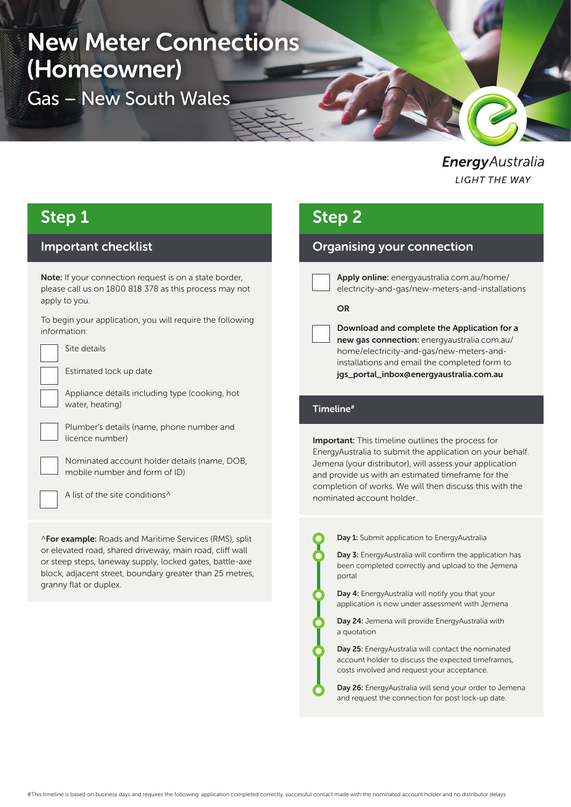# New Meter Connections (Homeowner)

Gas – New South Wales

EnergyAustralia **LIGHT THE WAY** 

## Step 1

### Important checklist

Note: If your connection request is on a state border. please call us on 1800 818 378 as this process may not apply to you.

To begin your application, you will require the following information:



Estimated lock up date

Site details

Appliance details including type (cooking, hot water, heating)



Plumber's details (name, phone number and licence number)

Nominated account holder details (name, DOB, mobile number and form of ID)

A list of the site conditions^

^For example: Roads and Maritime Services (RMS), split or elevated road, shared driveway, main road, cliff wall or steep steps, laneway supply, locked gates, battle-axe block, adjacent street, boundary greater than 25 metres, granny flat or duplex.

# Step 2

### Organising your connection

Apply online: energyaustralia.com.au/home/ electricity-and-gas/new-meters-and-installations

#### **OR**

Download and complete the Application for a new gas connection: energyaustralia.com.au/ home/electricity-and-gas/new-meters-andinstallations and email the completed form to jgs\_portal\_inbox@energyaustralia.com.au

#### Timeline#

Important: This timeline outlines the process for EnergyAustralia to submit the application on your behalf. Jemena (your distributor), will assess your application and provide us with an estimated timeframe for the completion of works. We will then discuss this with the nominated account holder..



Day 1: Submit application to EnergyAustralia

Day 3: EnergyAustralia will confirm the application has been completed correctly and upload to the Jemena portal

Day 4: EnergyAustralia will notify you that your application is now under assessment with Jemena

Day 24: Jemena will provide EnergyAustralia with a quotation

Day 25: EnergyAustralia will contact the nominated account holder to discuss the expected timeframes, costs involved and request your acceptance.

Day 26: EnergyAustralia will send your order to Jemena and request the connection for post lock-up date.